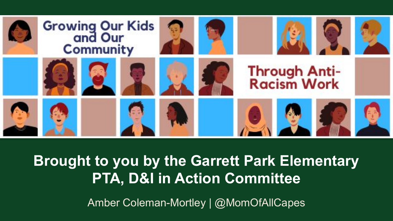

#### **Brought to you by the Garrett Park Elementary PTA, D&I in Action Committee**

Amber Coleman-Mortley | @MomOfAllCapes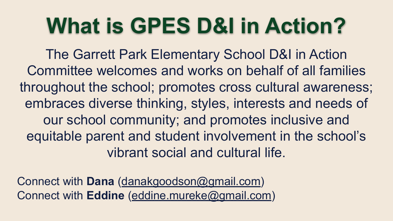## **What is GPES D&I in Action?**

The Garrett Park Elementary School D&I in Action Committee welcomes and works on behalf of all families throughout the school; promotes cross cultural awareness; embraces diverse thinking, styles, interests and needs of our school community; and promotes inclusive and equitable parent and student involvement in the school's vibrant social and cultural life.

Connect with **Dana** ([danakgoodson@gmail.com\)](mailto:danakgoodson@gmail.com) Connect with **Eddine** [\(eddine.mureke@gmail.com](mailto:eddine.mureke@gmail.com))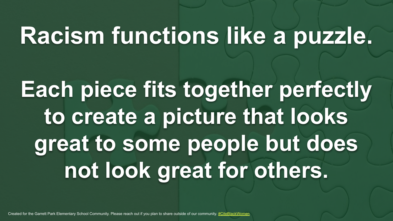# **Racism functions like a puzzle.**

# **Each piece fits together perfectly to create a picture that looks great to some people but does not look great for others.**

Created for the Garrett Park Elementary School Community. Please reach out if you plan to share outside of our community. [#CiteBlackWomen](https://twitter.com/search?q=%23CiteBlackWomen&src=typed_query)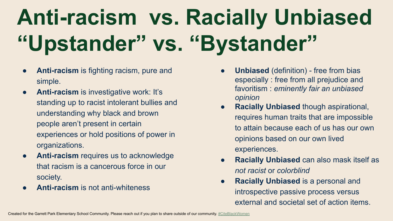# **Anti-racism vs. Racially Unbiased "Upstander" vs. "Bystander"**

- **Anti-racism** is fighting racism, pure and simple.
- **Anti-racism** is investigative work: It's standing up to racist intolerant bullies and understanding why black and brown people aren't present in certain experiences or hold positions of power in organizations.
- **Anti-racism** requires us to acknowledge that racism is a cancerous force in our society.
- **Anti-racism** is not anti-whiteness
- **Unbiased** (definition) free from bias especially : free from all prejudice and favoritism : *eminently fair an unbiased opinion*
- **Racially Unbiased** though aspirational, requires human traits that are impossible to attain because each of us has our own opinions based on our own lived experiences.
- **Racially Unbiased** can also mask itself as *not racist* or *colorblind*
- **Racially Unbiased** is a personal and introspective passive process versus external and societal set of action items.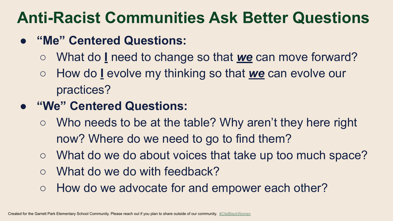#### **Anti-Racist Communities Ask Better Questions**

- **● "Me" Centered Questions:**
	- What do **I** need to change so that *we* can move forward?
	- How do **I** evolve my thinking so that *we* can evolve our practices?
- **● "We" Centered Questions:**
	- Who needs to be at the table? Why aren't they here right now? Where do we need to go to find them?
	- What do we do about voices that take up too much space?
	- What do we do with feedback?
	- How do we advocate for and empower each other?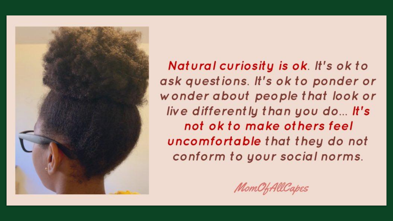

Natural curiosity is ok. It's ok to ask questions. It's ok to ponder or wonder about people that look or live differently than you do... It's not ok to make others feel uncomfortable that they do not conform to your social norms.

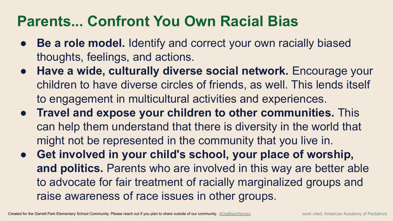#### **Parents... Confront You Own Racial Bias**

- **Be a role model.** Identify and correct your own racially biased thoughts, feelings, and actions.
- **Have a wide, culturally diverse social network.** Encourage your children to have diverse circles of friends, as well. This lends itself to engagement in multicultural activities and experiences.
- **Travel and expose your children to other communities.** This can help them understand that there is diversity in the world that might not be represented in the community that you live in.
- **Get involved in [your child's school](https://www.healthychildren.org/English/family-life/Community/Pages/How-to-Get-Involved-With-Your-Childs-School.aspx), your place of worship, and politics.** Parents who are involved in this way are better able to advocate for fair treatment of racially marginalized groups and raise awareness of race issues in other groups.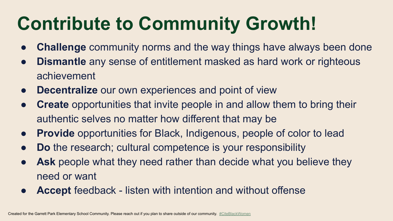## **Contribute to Community Growth!**

- **Challenge** community norms and the way things have always been done
- **Dismantle** any sense of entitlement masked as hard work or righteous achievement
- **Decentralize** our own experiences and point of view
- **Create** opportunities that invite people in and allow them to bring their authentic selves no matter how different that may be
- **Provide** opportunities for Black, Indigenous, people of color to lead
- **Do** the research; cultural competence is your responsibility
- **Ask** people what they need rather than decide what you believe they need or want
- **Accept** feedback listen with intention and without offense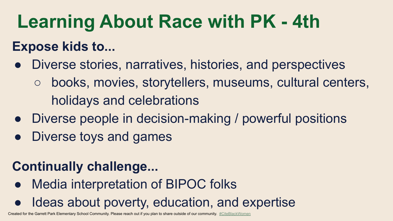## **Learning About Race with PK - 4th**

#### **Expose kids to...**

- Diverse stories, narratives, histories, and perspectives
	- books, movies, storytellers, museums, cultural centers, holidays and celebrations
- Diverse people in decision-making / powerful positions
- Diverse toys and games

#### **Continually challenge...**

- **Media interpretation of BIPOC folks**
- Ideas about poverty, education, and expertise

Created for the Garrett Park Elementary School Community. Please reach out if you plan to share outside of our community. [#CiteBlackWomen](https://twitter.com/search?q=%23CiteBlackWomen&src=typed_query)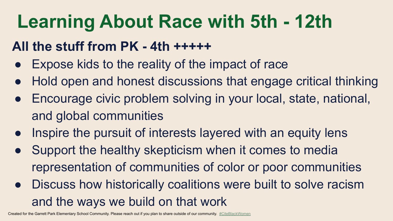## **Learning About Race with 5th - 12th**

#### **All the stuff from PK - 4th +++++**

- Expose kids to the reality of the impact of race
- Hold open and honest discussions that engage critical thinking
- Encourage civic problem solving in your local, state, national, and global communities
- Inspire the pursuit of interests layered with an equity lens
- Support the healthy skepticism when it comes to media representation of communities of color or poor communities
- Discuss how historically coalitions were built to solve racism and the ways we build on that work

Created for the Garrett Park Elementary School Community. Please reach out if you plan to share outside of our community. [#CiteBlackWomen](https://twitter.com/search?q=%23CiteBlackWomen&src=typed_query)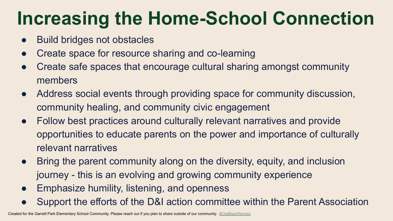## **Increasing the Home-School Connection**

- Build bridges not obstacles
- Create space for resource sharing and co-learning
- Create safe spaces that encourage cultural sharing amongst community members
- Address social events through providing space for community discussion, community healing, and community civic engagement
- Follow best practices around culturally relevant narratives and provide opportunities to educate parents on the power and importance of culturally relevant narratives
- Bring the parent community along on the diversity, equity, and inclusion journey - this is an evolving and growing community experience
- Emphasize humility, listening, and openness
- Support the efforts of the D&I action committee within the Parent Association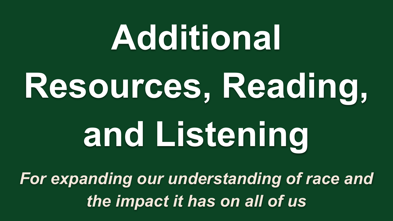# **Additional Resources, Reading, and Listening**

*For expanding our understanding of race and the impact it has on all of us*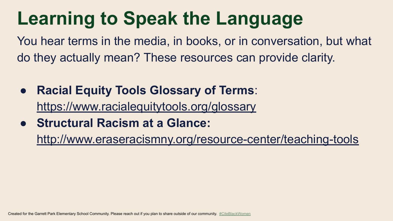## **Learning to Speak the Language**

You hear terms in the media, in books, or in conversation, but what do they actually mean? These resources can provide clarity.

- **Racial Equity Tools Glossary of Terms**: <https://www.racialequitytools.org/glossary>
- **Structural Racism at a Glance:**

<http://www.eraseracismny.org/resource-center/teaching-tools>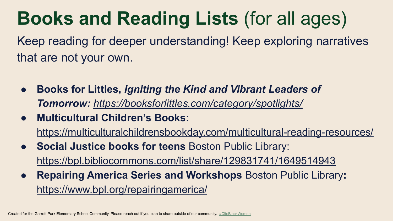## **Books and Reading Lists** (for all ages)

Keep reading for deeper understanding! Keep exploring narratives that are not your own.

- **Books for Littles,** *Igniting the Kind and Vibrant Leaders of Tomorrow: <https://booksforlittles.com/category/spotlights/>*
- **Multicultural Children's Books:**  <https://multiculturalchildrensbookday.com/multicultural-reading-resources/>
- **Social Justice books for teens** Boston Public Library: <https://bpl.bibliocommons.com/list/share/129831741/1649514943>
- **Repairing America Series and Workshops** Boston Public Library**:**  <https://www.bpl.org/repairingamerica/>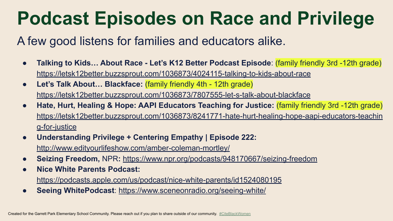## **Podcast Episodes on Race and Privilege**

#### A few good listens for families and educators alike.

- **Talking to Kids… About Race Let's K12 Better Podcast Episode**: (family friendly 3rd -12th grade) <https://letsk12better.buzzsprout.com/1036873/4024115-talking-to-kids-about-race>
- **Let's Talk About… Blackface:** (family friendly 4th 12th grade) <https://letsk12better.buzzsprout.com/1036873/7807555-let-s-talk-about-blackface>
- **● Hate, Hurt, Healing & Hope: AAPI Educators Teaching for Justice:** (family friendly 3rd -12th grade) [https://letsk12better.buzzsprout.com/1036873/8241771-hate-hurt-healing-hope-aapi-educators-teachin](https://letsk12better.buzzsprout.com/1036873/8241771-hate-hurt-healing-hope-aapi-educators-teaching-for-justice) [g-for-justice](https://letsk12better.buzzsprout.com/1036873/8241771-hate-hurt-healing-hope-aapi-educators-teaching-for-justice)
- **● Understanding Privilege + Centering Empathy | Episode 222:**  <http://www.edityourlifeshow.com/amber-coleman-mortley/>
- **Seizing Freedom,** NPR**:** <https://www.npr.org/podcasts/948170667/seizing-freedom>
- **Nice White Parents Podcast:** <https://podcasts.apple.com/us/podcast/nice-white-parents/id1524080195>
- **Seeing WhitePodcast**:<https://www.sceneonradio.org/seeing-white/>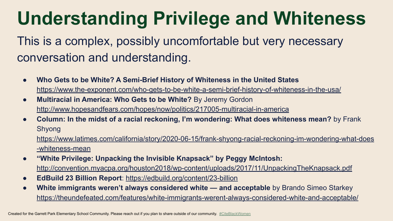## **Understanding Privilege and Whiteness**

This is a complex, possibly uncomfortable but very necessary conversation and understanding.

- **Who Gets to be White? A Semi-Brief History of Whiteness in the United States** <https://www.the-exponent.com/who-gets-to-be-white-a-semi-brief-history-of-whiteness-in-the-usa/>
- **Multiracial in America: Who Gets to be White?** By Jeremy Gordon <http://www.hopesandfears.com/hopes/now/politics/217005-multiracial-in-america>
- **Column: In the midst of a racial reckoning, I'm wondering: What does whiteness mean?** by Frank Shyong

[https://www.latimes.com/california/story/2020-06-15/frank-shyong-racial-reckoning-im-wondering-what-does](https://www.latimes.com/california/story/2020-06-15/frank-shyong-racial-reckoning-im-wondering-what-does-whiteness-mean) [-whiteness-mean](https://www.latimes.com/california/story/2020-06-15/frank-shyong-racial-reckoning-im-wondering-what-does-whiteness-mean)

- **"White Privilege: Unpacking the Invisible Knapsack" by Peggy McIntosh:** <http://convention.myacpa.org/houston2018/wp-content/uploads/2017/11/UnpackingTheKnapsack.pdf>
- **EdBuild 23 Billion Report**:<https://edbuild.org/content/23-billion>
- **● White immigrants weren't always considered white and acceptable** by Brando Simeo Starkey <https://theundefeated.com/features/white-immigrants-werent-always-considered-white-and-acceptable/>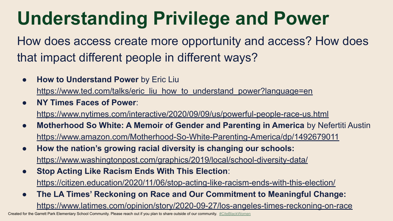## **Understanding Privilege and Power**

How does access create more opportunity and access? How does that impact different people in different ways?

- **How to Understand Power** by Eric Liu [https://www.ted.com/talks/eric\\_liu\\_how\\_to\\_understand\\_power?language=en](https://www.ted.com/talks/eric_liu_how_to_understand_power?language=en)
- **NY Times Faces of Power**:

<https://www.nytimes.com/interactive/2020/09/09/us/powerful-people-race-us.html>

- **Motherhood So White: A Memoir of Gender and Parenting in America** by Nefertiti Austin <https://www.amazon.com/Motherhood-So-White-Parenting-America/dp/1492679011>
- **How the nation's growing racial diversity is changing our schools:**  <https://www.washingtonpost.com/graphics/2019/local/school-diversity-data/>
- **Stop Acting Like Racism Ends With This Election**: <https://citizen.education/2020/11/06/stop-acting-like-racism-ends-with-this-election/>
- **The LA Times' Reckoning on Race and Our Commitment to Meaningful Change:**  <https://www.latimes.com/opinion/story/2020-09-27/los-angeles-times-reckoning-on-race>

Created for the Garrett Park Elementary School Community. Please reach out if you plan to share outside of our community. [#CiteBlackWomen](https://twitter.com/search?q=%23CiteBlackWomen&src=typed_query)